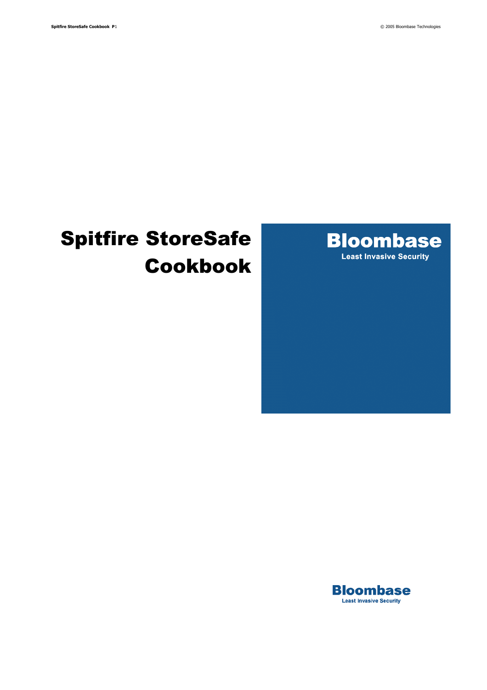# Spitfire StoreSafe Cookbook



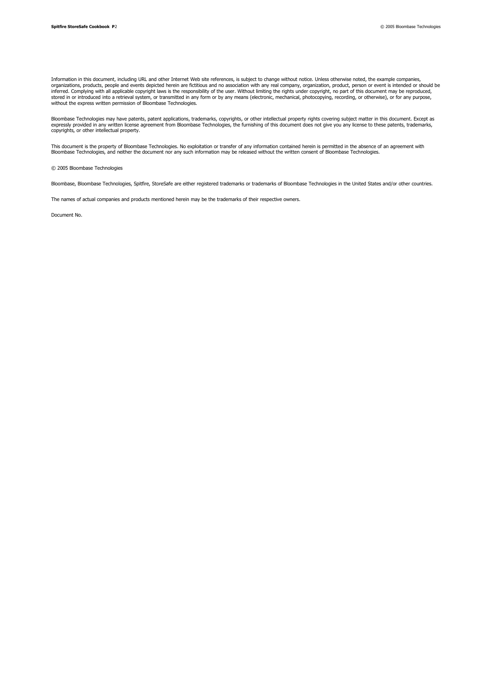Information in this document, including URL and other Internet Web site references, is subject to change without notice. Unless otherwise noted, the example companies, organizations, products, people and events depicted herein are fictitious and no association with any real company, organization, product, person or event is intended or should be inferred. Complying with all applicable copyright laws is the responsibility of the user. Without limiting the rights under copyright, no part of this document may be reproduced,<br>stored in or introduced into a retrieval sy without the express written permission of Bloombase Technologies.

Bloombase Technologies may have patents, patent applications, trademarks, copyrights, or other intellectual property rights covering subject matter in this document. Except as<br>expressly provided in any written license agre copyrights, or other intellectual property.

This document is the property of Bloombase Technologies. No exploitation or transfer of any information contained herein is permitted in the absence of an agreement with<br>Bloombase Technologies, and neither the document nor

© 2005 Bloombase Technologies

Bloombase, Bloombase Technologies, Spitfire, StoreSafe are either registered trademarks or trademarks of Bloombase Technologies in the United States and/or other countries.

The names of actual companies and products mentioned herein may be the trademarks of their respective owners.

Document No.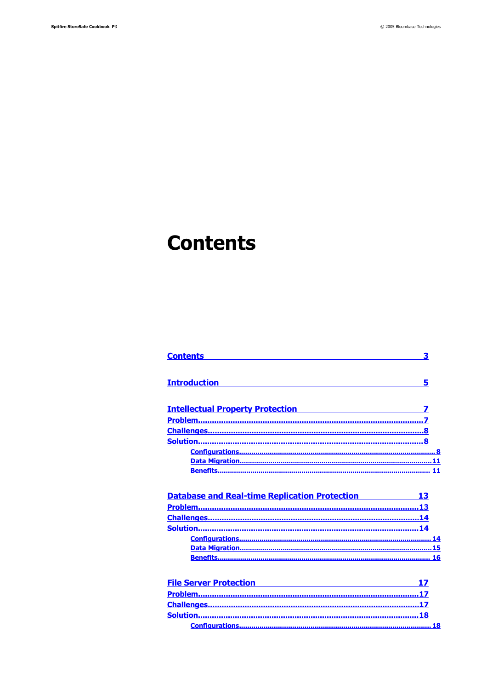## <span id="page-2-0"></span>**Contents**

| <b>Contents</b>                                                                                                      | 3  |
|----------------------------------------------------------------------------------------------------------------------|----|
| <b>Introduction</b>                                                                                                  | 5  |
| <b>Intellectual Property Protection</b> Manual Manual Manual Manual Manual Manual Manual Manual Manual Manual Manual |    |
|                                                                                                                      |    |
|                                                                                                                      |    |
|                                                                                                                      |    |
|                                                                                                                      |    |
|                                                                                                                      |    |
|                                                                                                                      |    |
| <b>Database and Real-time Replication Protection 13</b>                                                              |    |
|                                                                                                                      |    |
|                                                                                                                      |    |
|                                                                                                                      |    |
|                                                                                                                      |    |
|                                                                                                                      |    |
|                                                                                                                      |    |
|                                                                                                                      |    |
| File Server Protection <b>Executive Server Protection</b>                                                            | 17 |
|                                                                                                                      |    |
|                                                                                                                      |    |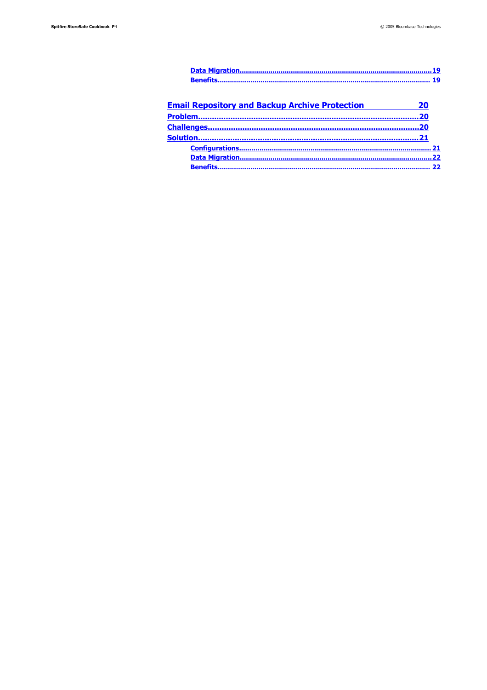| <b>Benefits</b>                                       |    |
|-------------------------------------------------------|----|
|                                                       |    |
| <b>Email Repository and Backup Archive Protection</b> | 20 |
|                                                       |    |
|                                                       |    |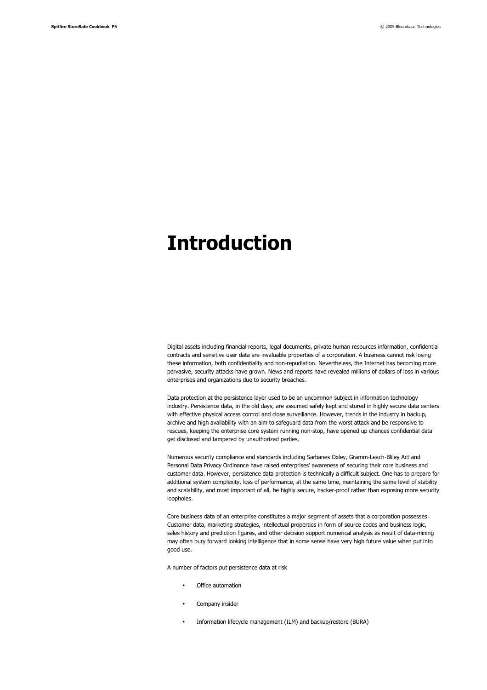## <span id="page-4-0"></span>**Introduction**

Digital assets including financial reports, legal documents, private human resources information, confidential contracts and sensitive user data are invaluable properties of a corporation. A business cannot risk losing these information, both confidentiality and non-repudiation. Nevertheless, the Internet has becoming more pervasive, security attacks have grown. News and reports have revealed millions of dollars of loss in various enterprises and organizations due to security breaches.

Data protection at the persistence layer used to be an uncommon subject in information technology industry. Persistence data, in the old days, are assumed safely kept and stored in highly secure data centers with effective physical access control and close surveillance. However, trends in the industry in backup, archive and high availability with an aim to safeguard data from the worst attack and be responsive to rescues, keeping the enterprise core system running non-stop, have opened up chances confidential data get disclosed and tampered by unauthorized parties.

Numerous security compliance and standards including Sarbanes Oxley, Gramm-Leach-Bliley Act and Personal Data Privacy Ordinance have raised enterprises' awareness of securing their core business and customer data. However, persistence data protection is technically a difficult subject. One has to prepare for additional system complexity, loss of performance, at the same time, maintaining the same level of stability and scalability, and most important of all, be highly secure, hacker-proof rather than exposing more security loopholes.

Core business data of an enterprise constitutes a major segment of assets that a corporation possesses. Customer data, marketing strategies, intellectual properties in form of source codes and business logic, sales history and prediction figures, and other decision support numerical analysis as result of data-mining may often bury forward looking intelligence that in some sense have very high future value when put into good use.

A number of factors put persistence data at risk

- Office automation
- Company insider
- Information lifecycle management (ILM) and backup/restore (BURA)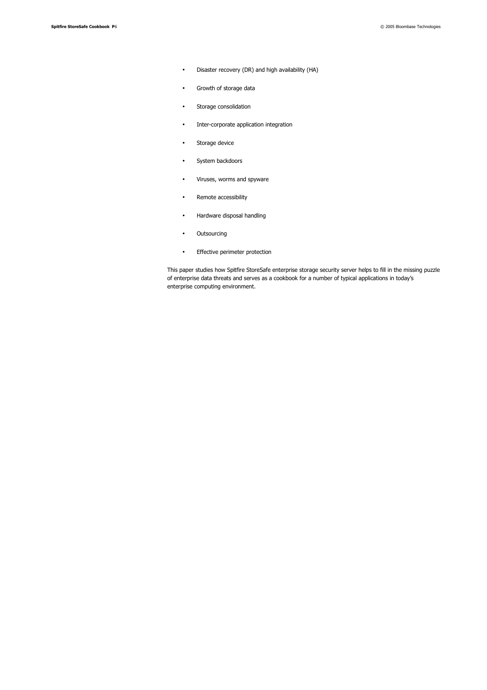- Disaster recovery (DR) and high availability (HA)
- Growth of storage data
- Storage consolidation
- Inter-corporate application integration
- Storage device
- System backdoors
- Viruses, worms and spyware
- Remote accessibility
- Hardware disposal handling
- Outsourcing
- Effective perimeter protection

This paper studies how Spitfire StoreSafe enterprise storage security server helps to fill in the missing puzzle of enterprise data threats and serves as a cookbook for a number of typical applications in today's enterprise computing environment.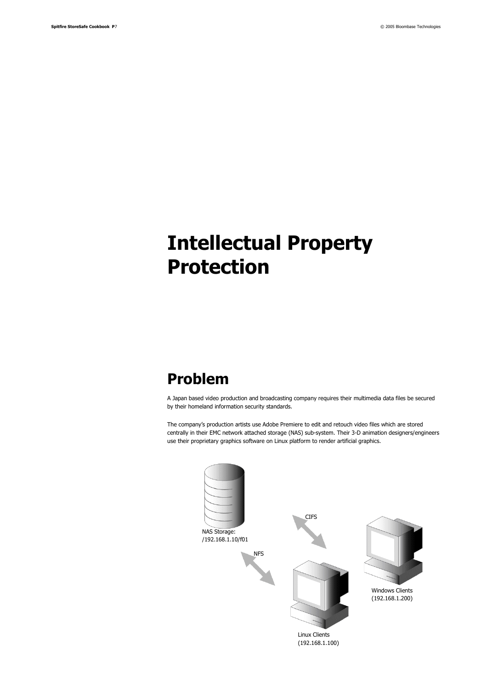# <span id="page-6-1"></span>**Intellectual Property Protection**

## <span id="page-6-0"></span>**Problem**

A Japan based video production and broadcasting company requires their multimedia data files be secured by their homeland information security standards.

The company's production artists use Adobe Premiere to edit and retouch video files which are stored centrally in their EMC network attached storage (NAS) sub-system. Their 3-D animation designers/engineers use their proprietary graphics software on Linux platform to render artificial graphics.

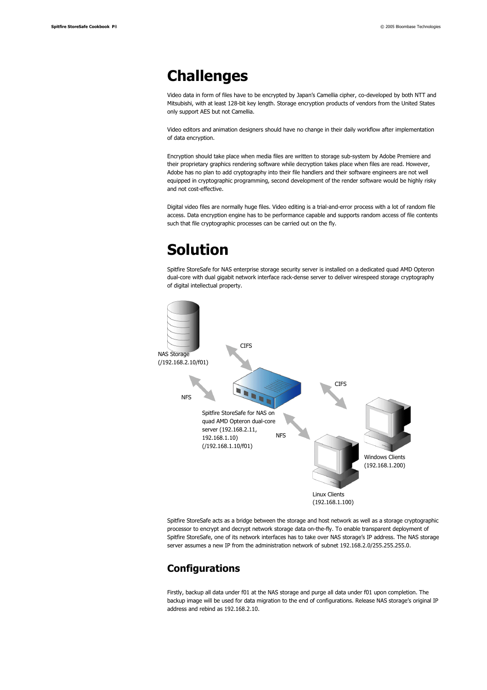### <span id="page-7-2"></span>**Challenges**

Video data in form of files have to be encrypted by Japan's Camellia cipher, co-developed by both NTT and Mitsubishi, with at least 128-bit key length. Storage encryption products of vendors from the United States only support AES but not Camellia.

Video editors and animation designers should have no change in their daily workflow after implementation of data encryption.

Encryption should take place when media files are written to storage sub-system by Adobe Premiere and their proprietary graphics rendering software while decryption takes place when files are read. However, Adobe has no plan to add cryptography into their file handlers and their software engineers are not well equipped in cryptographic programming, second development of the render software would be highly risky and not cost-effective.

Digital video files are normally huge files. Video editing is a trial-and-error process with a lot of random file access. Data encryption engine has to be performance capable and supports random access of file contents such that file cryptographic processes can be carried out on the fly.

## <span id="page-7-1"></span>**Solution**

Spitfire StoreSafe for NAS enterprise storage security server is installed on a dedicated quad AMD Opteron dual-core with dual gigabit network interface rack-dense server to deliver wirespeed storage cryptography of digital intellectual property.



Spitfire StoreSafe acts as a bridge between the storage and host network as well as a storage cryptographic processor to encrypt and decrypt network storage data on-the-fly. To enable transparent deployment of Spitfire StoreSafe, one of its network interfaces has to take over NAS storage's IP address. The NAS storage server assumes a new IP from the administration network of subnet 192.168.2.0/255.255.255.0.

### <span id="page-7-0"></span>**Configurations**

Firstly, backup all data under f01 at the NAS storage and purge all data under f01 upon completion. The backup image will be used for data migration to the end of configurations. Release NAS storage's original IP address and rebind as 192.168.2.10.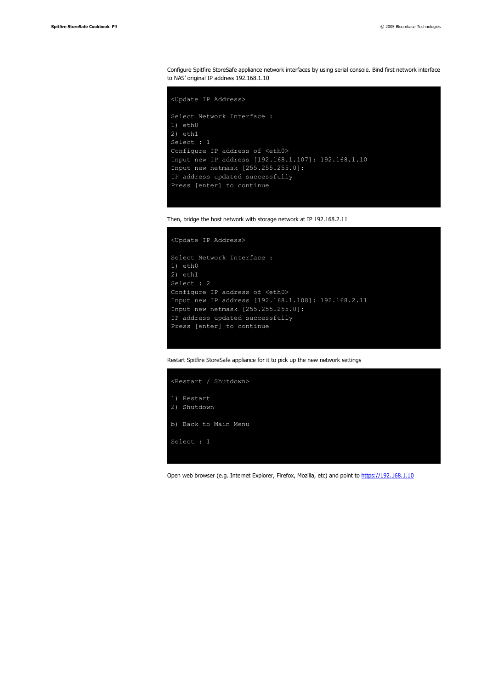Configure Spitfire StoreSafe appliance network interfaces by using serial console. Bind first network interface to NAS' original IP address 192.168.1.10

```
<Update IP Address>
Select Network Interface :
1) eth0
2) eth1
Select : 1
Configure IP address of <eth0>
Input new IP address [192.168.1.107]: 192.168.1.10
Input new netmask [255.255.255.0]:
IP address updated successfully
Press [enter] to continue
```


```
<Update IP Address>
```

```
Select Network Interface :
1) eth0
2) eth1
Select : 2
Configure IP address of <eth0>
Input new IP address [192.168.1.108]: 192.168.2.11
Input new netmask [255.255.255.0]:
IP address updated successfully
Press [enter] to continue
```
Restart Spitfire StoreSafe appliance for it to pick up the new network settings



Open web browser (e.g. Internet Explorer, Firefox, Mozilla, etc) and point to [https://192.168.1.10](https://192.168.1.10/)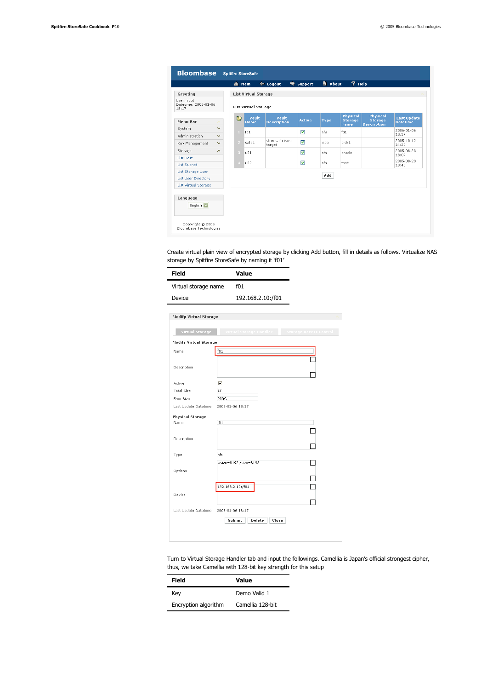|                                             |                     | m <sup>Main</sup>           |                             | $\leftarrow$ Logout         | <sup>●</sup> Support | <b>h</b> About | $2$ Help                                         |                                                         |                                       |
|---------------------------------------------|---------------------|-----------------------------|-----------------------------|-----------------------------|----------------------|----------------|--------------------------------------------------|---------------------------------------------------------|---------------------------------------|
| Greeting                                    |                     |                             | <b>List Virtual Storage</b> |                             |                      |                |                                                  |                                                         |                                       |
| User: root<br>Datetime: 2006-01-06<br>18:17 |                     | <b>List Virtual Storage</b> |                             |                             |                      |                |                                                  |                                                         |                                       |
| Menu Bar                                    | $\hat{\phantom{a}}$ | $\mathbb{P}$                | Vault<br>Name               | Vault<br><b>Description</b> | Active               | Type           | <b>Physical</b><br><b>Storage</b><br><b>Name</b> | <b>Physical</b><br><b>Storage</b><br><b>Description</b> | <b>Last Update</b><br><b>Datetime</b> |
| System                                      | $\checkmark$        | $\mathbf{L}$                | f01                         |                             | 罓                    | nfs            | f01                                              |                                                         | 2006-01-06<br>18:17                   |
| Administration                              | $\checkmark$        |                             |                             | storesafe iscsi             |                      |                |                                                  |                                                         | 2005-10-12                            |
| Key Management                              | $\checkmark$        | $\mathcal{P}$               | safe1                       | target                      | ☑                    | iscsi          | disk1                                            |                                                         | 14:20                                 |
| Storage                                     | $\wedge$            | $\alpha$                    | U <sub>01</sub>             |                             | ☑                    | nfs            | oracle                                           |                                                         | 2005-08-23<br>18:07                   |
| <b>List Host</b>                            |                     |                             | u02                         |                             | ☑                    | nfs            | test1                                            |                                                         | 2005-08-23                            |
| <b>List Subnet</b>                          |                     |                             |                             |                             |                      |                |                                                  |                                                         | 18:46                                 |
| List Storage User                           |                     |                             |                             |                             |                      | Add            |                                                  |                                                         |                                       |
| List User Directory                         |                     |                             |                             |                             |                      |                |                                                  |                                                         |                                       |
| List Virtual Storage                        |                     |                             |                             |                             |                      |                |                                                  |                                                         |                                       |
| Language                                    |                     |                             |                             |                             |                      |                |                                                  |                                                         |                                       |
| English V                                   |                     |                             |                             |                             |                      |                |                                                  |                                                         |                                       |

Create virtual plain view of encrypted storage by clicking Add button, fill in details as follows. Virtualize NAS storage by Spitfire StoreSafe by naming it 'f01'

| 192.168.2.10:/f01 |
|-------------------|
|                   |

| <b>Modify Virtual Storage</b> |                           |                        |
|-------------------------------|---------------------------|------------------------|
| <b>Virtual Storage</b>        | Virtual Storage Handler   | Storage Access Control |
| <b>Modify Virtual Storage</b> |                           |                        |
| Name                          | f01                       |                        |
| Description                   |                           |                        |
| Active                        | ⊽                         |                        |
| <b>Total Size</b>             | 1T                        |                        |
| Free Size                     | 900G                      |                        |
| Last Update Datetime          | 2006-01-06 18:17          |                        |
| <b>Physical Storage</b>       |                           |                        |
| Name                          | f01                       |                        |
| Description                   |                           |                        |
| Type                          | nfs                       |                        |
| Options                       | wsize=8192,rsize=8192     |                        |
|                               | 192.168.2.10:/f01         |                        |
| Device                        |                           |                        |
|                               |                           |                        |
| Last Update Datetime          | 2006-01-06 18:17          |                        |
|                               | Submit<br>Delete<br>Close |                        |

Turn to Virtual Storage Handler tab and input the followings. Camellia is Japan's official strongest cipher, thus, we take Camellia with 128-bit key strength for this setup

| Field                | Value            |
|----------------------|------------------|
| Key                  | Demo Valid 1     |
| Encryption algorithm | Camellia 128-bit |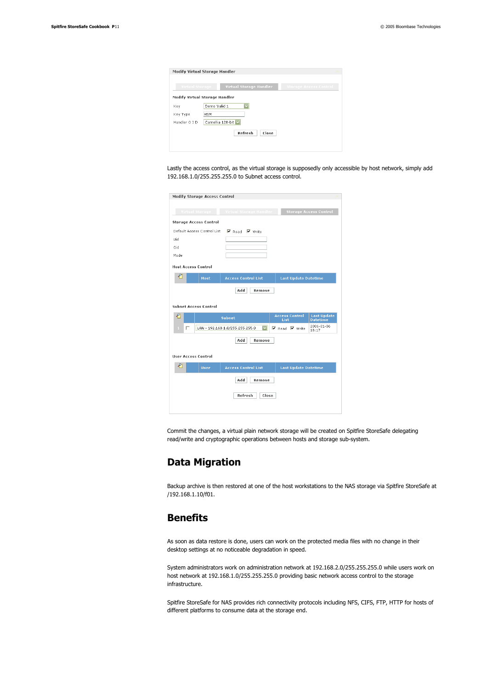|                 | Modify Virtual Storage Handler        |                               |
|-----------------|---------------------------------------|-------------------------------|
| Virtual Storage | Virtual Storage Handler               | <b>Storage Access Control</b> |
|                 | <b>Modify Virtual Storage Handler</b> |                               |
| Key             | Demo Valid 1                          |                               |
| Key Type        | <b>HSM</b>                            |                               |
| Handler O I D   | Camellia 128-bit                      |                               |

Lastly the access control, as the virtual storage is supposedly only accessible by host network, simply add 192.168.1.0/255.255.255.0 to Subnet access control.

| Modify Storage Access Control     |                                 |      |                              |                                       |
|-----------------------------------|---------------------------------|------|------------------------------|---------------------------------------|
| Virtual Storage                   | Virtual Storage Handler         |      |                              | <b>Storage Access Control</b>         |
| <b>Storage Access Control</b>     |                                 |      |                              |                                       |
| Default Access Control List       | $\nabla$ Read $\nabla$ Write    |      |                              |                                       |
| Uid                               |                                 |      |                              |                                       |
| Gid                               |                                 |      |                              |                                       |
| Mode                              |                                 |      |                              |                                       |
| <b>Host Access Control</b>        |                                 |      |                              |                                       |
| ₽<br>Host                         | <b>Access Control List</b>      |      | <b>Last Update Datetime</b>  |                                       |
|                                   | Add<br>Remove                   |      |                              |                                       |
| <b>Subnet Access Control</b><br>€ | <b>Subnet</b>                   | List | <b>Access Control</b>        | <b>Last Update</b><br><b>Datetime</b> |
| л<br>п                            | LAN - 192.168.1.0/255.255.255.0 |      | $\nabla$ Read $\nabla$ Write | 2006-01-06<br>18:17                   |
| <b>User Access Control</b>        | Add<br>Remove                   |      |                              |                                       |
| ୷<br><b>User</b>                  | <b>Access Control List</b>      |      | <b>Last Update Datetime</b>  |                                       |
|                                   | Add<br>Remove                   |      |                              |                                       |
|                                   | Refresh<br>Close                |      |                              |                                       |
|                                   |                                 |      |                              |                                       |

Commit the changes, a virtual plain network storage will be created on Spitfire StoreSafe delegating read/write and cryptographic operations between hosts and storage sub-system.

### <span id="page-10-1"></span>**Data Migration**

Backup archive is then restored at one of the host workstations to the NAS storage via Spitfire StoreSafe at /192.168.1.10/f01.

### <span id="page-10-0"></span>**Benefits**

As soon as data restore is done, users can work on the protected media files with no change in their desktop settings at no noticeable degradation in speed.

System administrators work on administration network at 192.168.2.0/255.255.255.0 while users work on host network at 192.168.1.0/255.255.255.0 providing basic network access control to the storage infrastructure.

Spitfire StoreSafe for NAS provides rich connectivity protocols including NFS, CIFS, FTP, HTTP for hosts of different platforms to consume data at the storage end.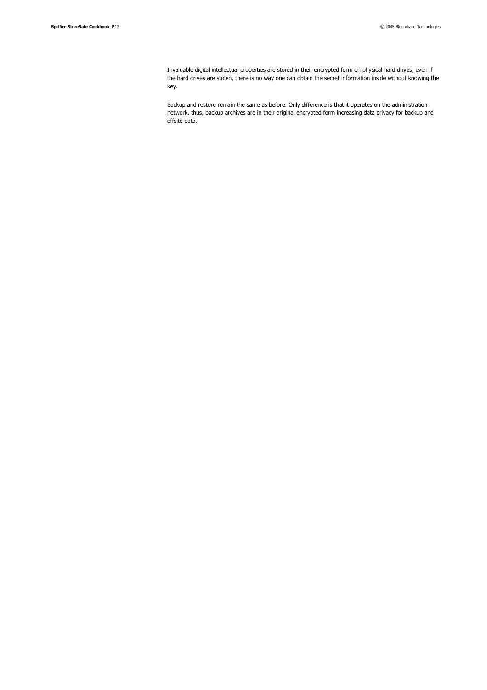Invaluable digital intellectual properties are stored in their encrypted form on physical hard drives, even if the hard drives are stolen, there is no way one can obtain the secret information inside without knowing the key.

Backup and restore remain the same as before. Only difference is that it operates on the administration network, thus, backup archives are in their original encrypted form increasing data privacy for backup and offsite data.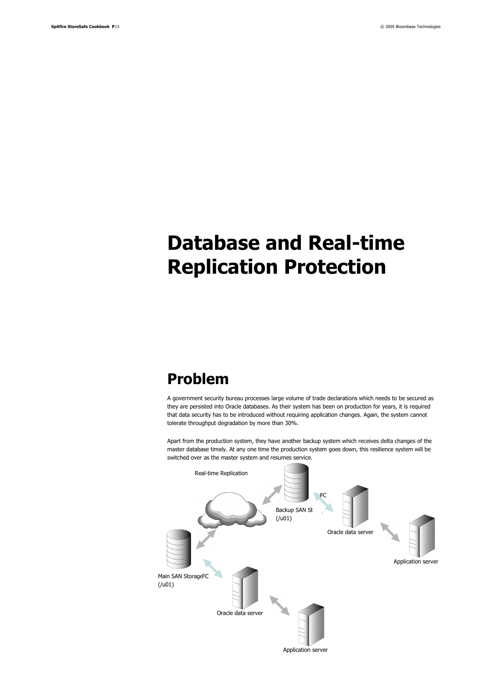# <span id="page-12-0"></span>**Database and Real-time Replication Protection**

## **Problem**

A government security bureau processes large volume of trade declarations which needs to be secured as they are persisted into Oracle databases. As their system has been on production for years, it is required that data security has to be introduced without requiring application changes. Again, the system cannot tolerate throughput degradation by more than 30%.

Apart from the production system, they have another backup system which receives delta changes of the master database timely. At any one time the production system goes down, this resilience system will be switched over as the master system and resumes service.

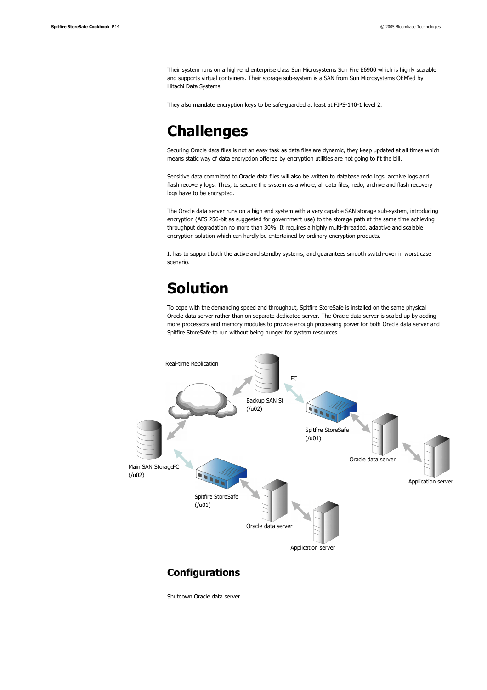Their system runs on a high-end enterprise class Sun Microsystems Sun Fire E6900 which is highly scalable and supports virtual containers. Their storage sub-system is a SAN from Sun Microsystems OEM'ed by Hitachi Data Systems.

They also mandate encryption keys to be safe-guarded at least at FIPS-140-1 level 2.

## **Challenges**

Securing Oracle data files is not an easy task as data files are dynamic, they keep updated at all times which means static way of data encryption offered by encryption utilities are not going to fit the bill.

Sensitive data committed to Oracle data files will also be written to database redo logs, archive logs and flash recovery logs. Thus, to secure the system as a whole, all data files, redo, archive and flash recovery logs have to be encrypted.

The Oracle data server runs on a high end system with a very capable SAN storage sub-system, introducing encryption (AES 256-bit as suggested for government use) to the storage path at the same time achieving throughput degradation no more than 30%. It requires a highly multi-threaded, adaptive and scalable encryption solution which can hardly be entertained by ordinary encryption products.

It has to support both the active and standby systems, and guarantees smooth switch-over in worst case scenario.

## **Solution**

To cope with the demanding speed and throughput, Spitfire StoreSafe is installed on the same physical Oracle data server rather than on separate dedicated server. The Oracle data server is scaled up by adding more processors and memory modules to provide enough processing power for both Oracle data server and Spitfire StoreSafe to run without being hunger for system resources.



#### **Configurations**

Shutdown Oracle data server.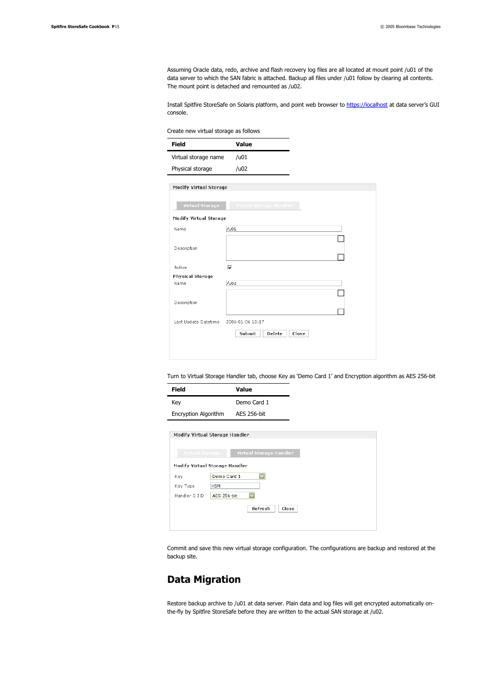Assuming Oracle data, redo, archive and flash recovery log files are all located at mount point /u01 of the data server to which the SAN fabric is attached. Backup all files under /u01 follow by clearing all contents. The mount point is detached and remounted as /u02.

Install Spitfire StoreSafe on Solaris platform, and point web browser to [https://localhost](https://localhost/) at data server's GUI console.

Create new virtual storage as follows

| <b>Field</b>                  | Value                     |  |
|-------------------------------|---------------------------|--|
| Virtual storage name          | /401                      |  |
| Physical storage              | /402                      |  |
| <b>Modify Virtual Storage</b> |                           |  |
| Virtual Storage               | Virtual Storage Handler   |  |
| <b>Modify Virtual Storage</b> |                           |  |
| Name                          | /u01                      |  |
| Description                   |                           |  |
| Active                        | $\overline{\mathbf{v}}$   |  |
| <b>Physical Storage</b>       |                           |  |
| Name                          | /u02                      |  |
| Description                   |                           |  |
| Last Update Datetime          | 2006-01-06 18:17          |  |
|                               | Submit<br>Delete<br>Close |  |

Turn to Virtual Storage Handler tab, choose Key as 'Demo Card 1' and Encryption algorithm as AES 256-bit

| Field                       | Value       |  |  |
|-----------------------------|-------------|--|--|
| Key                         | Demo Card 1 |  |  |
| <b>Encryption Algorithm</b> | AES 256-bit |  |  |

| Virtual Storage<br><b>Modify Virtual Storage Handler</b><br>Key |             | Virtual Storage Handler |  |  |  |
|-----------------------------------------------------------------|-------------|-------------------------|--|--|--|
|                                                                 |             |                         |  |  |  |
|                                                                 |             |                         |  |  |  |
|                                                                 | Demo Card 1 |                         |  |  |  |
| Key Type<br>HSM                                                 |             |                         |  |  |  |
| AES 256-bit<br>Handler O I D                                    |             |                         |  |  |  |

Commit and save this new virtual storage configuration. The configurations are backup and restored at the backup site.

### **Data Migration**

Restore backup archive to /u01 at data server. Plain data and log files will get encrypted automatically onthe-fly by Spitfire StoreSafe before they are written to the actual SAN storage at /u02.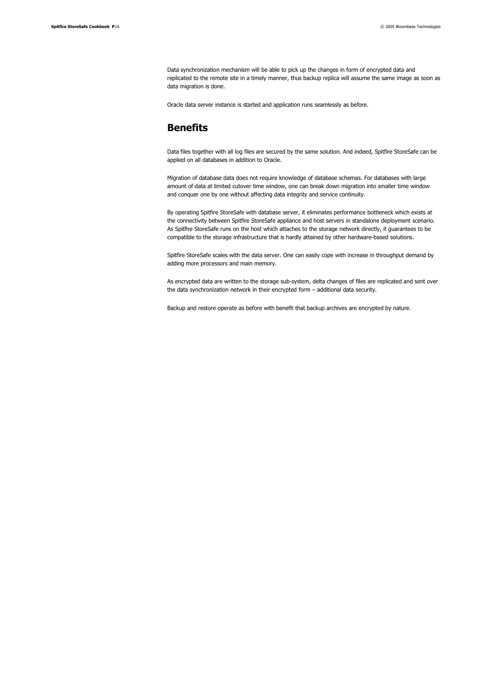Data synchronization mechanism will be able to pick up the changes in form of encrypted data and replicated to the remote site in a timely manner, thus backup replica will assume the same image as soon as data migration is done.

Oracle data server instance is started and application runs seamlessly as before.

#### **Benefits**

Data files together with all log files are secured by the same solution. And indeed, Spitfire StoreSafe can be applied on all databases in addition to Oracle.

Migration of database data does not require knowledge of database schemas. For databases with large amount of data at limited cutover time window, one can break down migration into smaller time window and conquer one by one without affecting data integrity and service continuity.

By operating Spitfire StoreSafe with database server, it eliminates performance bottleneck which exists at the connectivity between Spitfire StoreSafe appliance and host servers in standalone deployment scenario. As Spitfire StoreSafe runs on the host which attaches to the storage network directly, it guarantees to be compatible to the storage infrastructure that is hardly attained by other hardware-based solutions.

Spitfire StoreSafe scales with the data server. One can easily cope with increase in throughput demand by adding more processors and main memory.

As encrypted data are written to the storage sub-system, delta changes of files are replicated and sent over the data synchronization network in their encrypted form – additional data security.

Backup and restore operate as before with benefit that backup archives are encrypted by nature.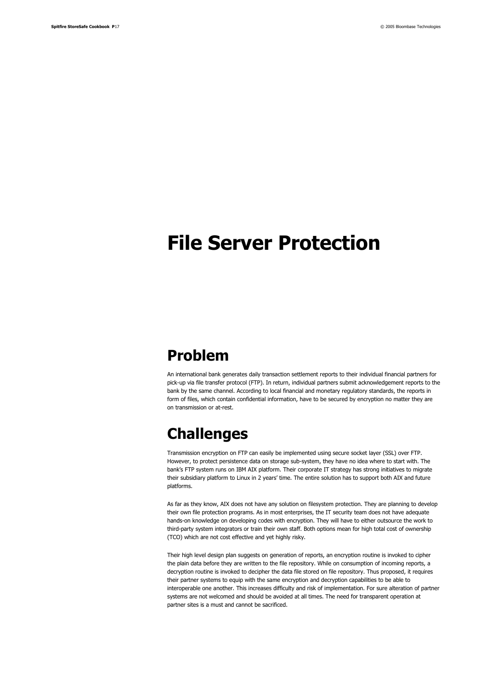## <span id="page-16-0"></span>**File Server Protection**

### **Problem**

An international bank generates daily transaction settlement reports to their individual financial partners for pick-up via file transfer protocol (FTP). In return, individual partners submit acknowledgement reports to the bank by the same channel. According to local financial and monetary regulatory standards, the reports in form of files, which contain confidential information, have to be secured by encryption no matter they are on transmission or at-rest.

## **Challenges**

Transmission encryption on FTP can easily be implemented using secure socket layer (SSL) over FTP. However, to protect persistence data on storage sub-system, they have no idea where to start with. The bank's FTP system runs on IBM AIX platform. Their corporate IT strategy has strong initiatives to migrate their subsidiary platform to Linux in 2 years' time. The entire solution has to support both AIX and future platforms.

As far as they know, AIX does not have any solution on filesystem protection. They are planning to develop their own file protection programs. As in most enterprises, the IT security team does not have adequate hands-on knowledge on developing codes with encryption. They will have to either outsource the work to third-party system integrators or train their own staff. Both options mean for high total cost of ownership (TCO) which are not cost effective and yet highly risky.

Their high level design plan suggests on generation of reports, an encryption routine is invoked to cipher the plain data before they are written to the file repository. While on consumption of incoming reports, a decryption routine is invoked to decipher the data file stored on file repository. Thus proposed, it requires their partner systems to equip with the same encryption and decryption capabilities to be able to interoperable one another. This increases difficulty and risk of implementation. For sure alteration of partner systems are not welcomed and should be avoided at all times. The need for transparent operation at partner sites is a must and cannot be sacrificed.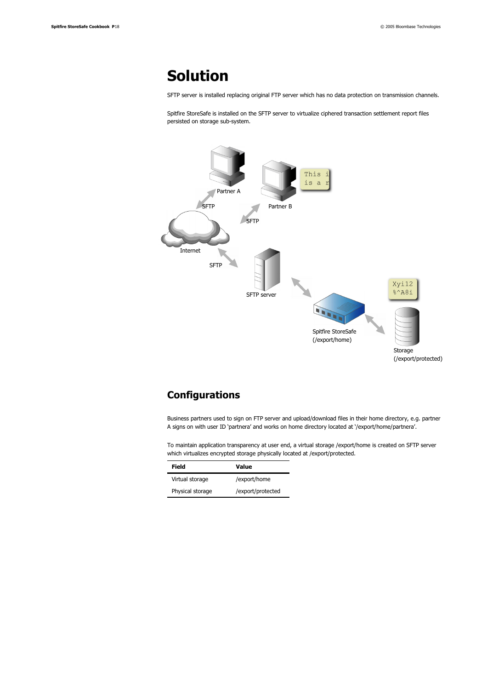### **Solution**

SFTP server is installed replacing original FTP server which has no data protection on transmission channels.

Spitfire StoreSafe is installed on the SFTP server to virtualize ciphered transaction settlement report files persisted on storage sub-system.



### **Configurations**

Business partners used to sign on FTP server and upload/download files in their home directory, e.g. partner A signs on with user ID 'partnera' and works on home directory located at '/export/home/partnera'.

To maintain application transparency at user end, a virtual storage /export/home is created on SFTP server which virtualizes encrypted storage physically located at /export/protected.

| Field            | Value             |  |  |
|------------------|-------------------|--|--|
| Virtual storage  | /export/home      |  |  |
| Physical storage | /export/protected |  |  |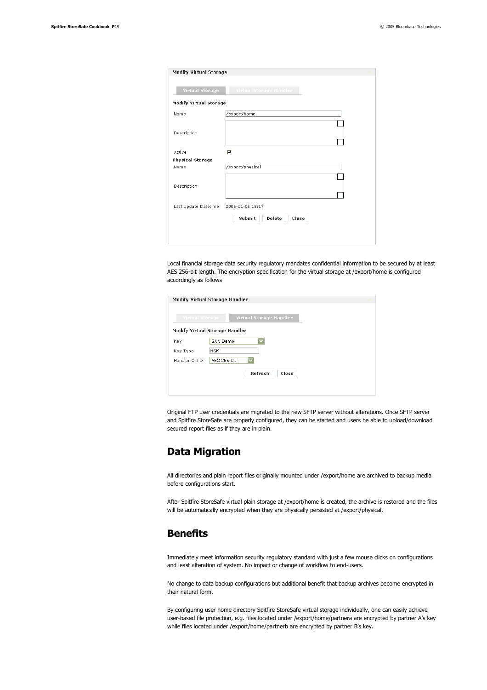| <b>Virtual Storage</b>        | Virtual Storage Handler   |  |
|-------------------------------|---------------------------|--|
| <b>Modify Virtual Storage</b> |                           |  |
| Name                          | /export/home              |  |
|                               |                           |  |
| Description                   |                           |  |
|                               |                           |  |
| Active                        | $\overline{\mathbf{v}}$   |  |
| <b>Physical Storage</b>       |                           |  |
| Name                          | /export/physical          |  |
|                               |                           |  |
| Description                   |                           |  |
|                               |                           |  |
| Last Update Datetime          | 2006-01-06 18:17          |  |
|                               |                           |  |
|                               | Submit<br>Delete<br>Close |  |

Local financial storage data security regulatory mandates confidential information to be secured by at least AES 256-bit length. The encryption specification for the virtual storage at /export/home is configured accordingly as follows

| Virtual Storage |                                | Virtual Storage Handler |       |
|-----------------|--------------------------------|-------------------------|-------|
|                 | Modify Virtual Storage Handler |                         |       |
| Key             | SAN Demo                       |                         |       |
| Key Type        | <b>HSM</b>                     |                         |       |
| Handler O I D   | <b>AES 256-bit</b>             |                         |       |
|                 |                                | Refresh                 | Close |
|                 |                                |                         |       |

Original FTP user credentials are migrated to the new SFTP server without alterations. Once SFTP server and Spitfire StoreSafe are properly configured, they can be started and users be able to upload/download secured report files as if they are in plain.

#### **Data Migration**

All directories and plain report files originally mounted under /export/home are archived to backup media before configurations start.

After Spitfire StoreSafe virtual plain storage at /export/home is created, the archive is restored and the files will be automatically encrypted when they are physically persisted at /export/physical.

### **Benefits**

Immediately meet information security regulatory standard with just a few mouse clicks on configurations and least alteration of system. No impact or change of workflow to end-users.

No change to data backup configurations but additional benefit that backup archives become encrypted in their natural form.

By configuring user home directory Spitfire StoreSafe virtual storage individually, one can easily achieve user-based file protection, e.g. files located under /export/home/partnera are encrypted by partner A's key while files located under /export/home/partnerb are encrypted by partner B's key.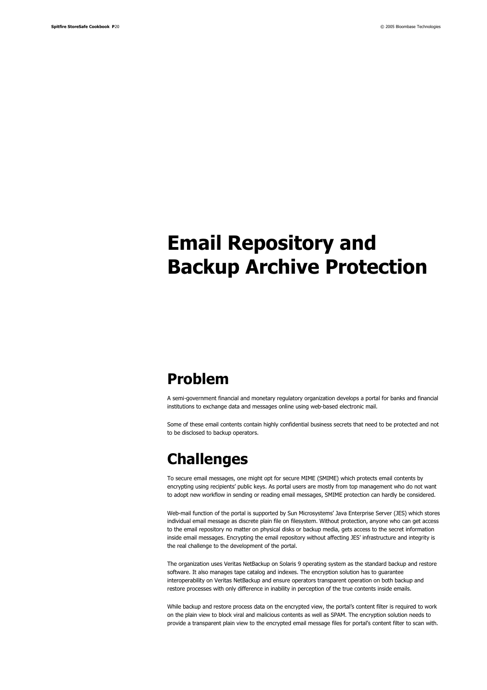# <span id="page-19-0"></span>**Email Repository and Backup Archive Protection**

### **Problem**

A semi-government financial and monetary regulatory organization develops a portal for banks and financial institutions to exchange data and messages online using web-based electronic mail.

Some of these email contents contain highly confidential business secrets that need to be protected and not to be disclosed to backup operators.

## **Challenges**

To secure email messages, one might opt for secure MIME (SMIME) which protects email contents by encrypting using recipients' public keys. As portal users are mostly from top management who do not want to adopt new workflow in sending or reading email messages, SMIME protection can hardly be considered.

Web-mail function of the portal is supported by Sun Microsystems' Java Enterprise Server (JES) which stores individual email message as discrete plain file on filesystem. Without protection, anyone who can get access to the email repository no matter on physical disks or backup media, gets access to the secret information inside email messages. Encrypting the email repository without affecting JES' infrastructure and integrity is the real challenge to the development of the portal.

The organization uses Veritas NetBackup on Solaris 9 operating system as the standard backup and restore software. It also manages tape catalog and indexes. The encryption solution has to guarantee interoperability on Veritas NetBackup and ensure operators transparent operation on both backup and restore processes with only difference in inability in perception of the true contents inside emails.

While backup and restore process data on the encrypted view, the portal's content filter is required to work on the plain view to block viral and malicious contents as well as SPAM. The encryption solution needs to provide a transparent plain view to the encrypted email message files for portal's content filter to scan with.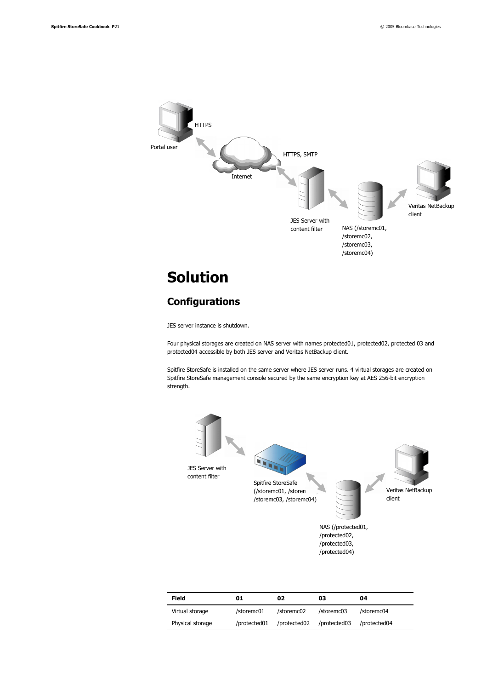

## **Solution**

### **Configurations**

JES server instance is shutdown.

Four physical storages are created on NAS server with names protected01, protected02, protected 03 and protected04 accessible by both JES server and Veritas NetBackup client.

Spitfire StoreSafe is installed on the same server where JES server runs. 4 virtual storages are created on Spitfire StoreSafe management console secured by the same encryption key at AES 256-bit encryption strength.



| Field            | 01           | 02           | 03           | 04           |
|------------------|--------------|--------------|--------------|--------------|
| Virtual storage  | /storemc01   | /storemc02   | /storemc03   | /storemc04   |
| Physical storage | /protected01 | /protected02 | /protected03 | /protected04 |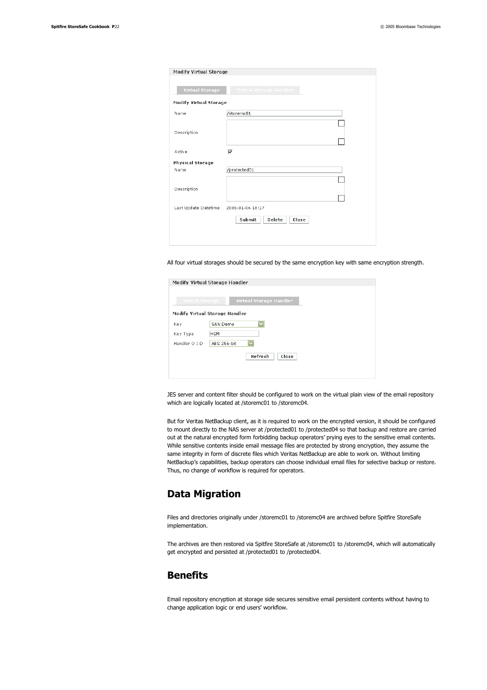| <b>Modify Virtual Storage</b> |                           |  |
|-------------------------------|---------------------------|--|
| Virtual Storage               | Virtual Storage Handler   |  |
| <b>Modify Virtual Storage</b> |                           |  |
| Name                          | /storemc01                |  |
|                               |                           |  |
| Description                   |                           |  |
|                               |                           |  |
| Active                        | ⊽                         |  |
| <b>Physical Storage</b>       |                           |  |
| Name                          | /protected01              |  |
|                               |                           |  |
| Description                   |                           |  |
|                               |                           |  |
| Last Update Datetime          | 2006-01-06 18:17          |  |
|                               | Submit<br>Delete<br>Close |  |

All four virtual storages should be secured by the same encryption key with same encryption strength.

|                 | Modify Virtual Storage Handler |                         |  |  |
|-----------------|--------------------------------|-------------------------|--|--|
| Virtual Storage |                                | Virtual Storage Handler |  |  |
|                 | Modify Virtual Storage Handler |                         |  |  |
| Key             | SAN Demo                       |                         |  |  |
| Кеу Туре        | <b>HSM</b>                     |                         |  |  |
| Handler O I D   | <b>AES 256-bit</b>             |                         |  |  |

JES server and content filter should be configured to work on the virtual plain view of the email repository which are logically located at /storemc01 to /storemc04.

But for Veritas NetBackup client, as it is required to work on the encrypted version, it should be configured to mount directly to the NAS server at /protected01 to /protected04 so that backup and restore are carried out at the natural encrypted form forbidding backup operators' prying eyes to the sensitive email contents. While sensitive contents inside email message files are protected by strong encryption, they assume the same integrity in form of discrete files which Veritas NetBackup are able to work on. Without limiting NetBackup's capabilities, backup operators can choose individual email files for selective backup or restore. Thus, no change of workflow is required for operators.

### **Data Migration**

Files and directories originally under /storemc01 to /storemc04 are archived before Spitfire StoreSafe implementation.

The archives are then restored via Spitfire StoreSafe at /storemc01 to /storemc04, which will automatically get encrypted and persisted at /protected01 to /protected04.

### **Benefits**

Email repository encryption at storage side secures sensitive email persistent contents without having to change application logic or end users' workflow.